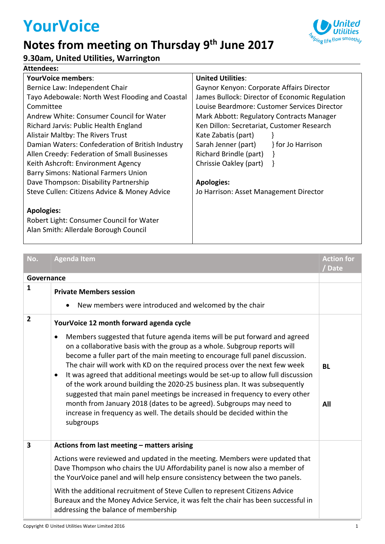# **YourVoice**

### **Notes from meeting on Thursday 9 th June 2017**



### **9.30am, United Utilities, Warrington**

#### **Attendees:**

| <b>YourVoice members:</b>                        | <b>United Utilities:</b>                       |
|--------------------------------------------------|------------------------------------------------|
| Bernice Law: Independent Chair                   | Gaynor Kenyon: Corporate Affairs Director      |
| Tayo Adebowale: North West Flooding and Coastal  | James Bullock: Director of Economic Regulation |
| Committee                                        | Louise Beardmore: Customer Services Director   |
| Andrew White: Consumer Council for Water         | Mark Abbott: Regulatory Contracts Manager      |
| Richard Jarvis: Public Health England            | Ken Dillon: Secretariat, Customer Research     |
| Alistair Maltby: The Rivers Trust                | Kate Zabatis (part)                            |
| Damian Waters: Confederation of British Industry | Sarah Jenner (part)<br>for Jo Harrison         |
| Allen Creedy: Federation of Small Businesses     | Richard Brindle (part)                         |
| Keith Ashcroft: Environment Agency               | Chrissie Oakley (part)                         |
| <b>Barry Simons: National Farmers Union</b>      |                                                |
| Dave Thompson: Disability Partnership            | <b>Apologies:</b>                              |
| Steve Cullen: Citizens Advice & Money Advice     | Jo Harrison: Asset Management Director         |
|                                                  |                                                |
| <b>Apologies:</b>                                |                                                |
| Robert Light: Consumer Council for Water         |                                                |
| Alan Smith: Allerdale Borough Council            |                                                |

| No.                     | <b>Agenda Item</b>                                                                                                                                                                                                                                                                                                                                                                                                                                                                                                                                                                                                                                                                                                                                                                                       | <b>Action for</b><br>/Date |
|-------------------------|----------------------------------------------------------------------------------------------------------------------------------------------------------------------------------------------------------------------------------------------------------------------------------------------------------------------------------------------------------------------------------------------------------------------------------------------------------------------------------------------------------------------------------------------------------------------------------------------------------------------------------------------------------------------------------------------------------------------------------------------------------------------------------------------------------|----------------------------|
| Governance              |                                                                                                                                                                                                                                                                                                                                                                                                                                                                                                                                                                                                                                                                                                                                                                                                          |                            |
| $\mathbf{1}$            | <b>Private Members session</b><br>New members were introduced and welcomed by the chair                                                                                                                                                                                                                                                                                                                                                                                                                                                                                                                                                                                                                                                                                                                  |                            |
| $\overline{2}$          | YourVoice 12 month forward agenda cycle<br>Members suggested that future agenda items will be put forward and agreed<br>$\bullet$<br>on a collaborative basis with the group as a whole. Subgroup reports will<br>become a fuller part of the main meeting to encourage full panel discussion.<br>The chair will work with KD on the required process over the next few week<br>It was agreed that additional meetings would be set-up to allow full discussion<br>$\bullet$<br>of the work around building the 2020-25 business plan. It was subsequently<br>suggested that main panel meetings be increased in frequency to every other<br>month from January 2018 (dates to be agreed). Subgroups may need to<br>increase in frequency as well. The details should be decided within the<br>subgroups | <b>BL</b><br>All           |
| $\overline{\mathbf{3}}$ | Actions from last meeting - matters arising<br>Actions were reviewed and updated in the meeting. Members were updated that<br>Dave Thompson who chairs the UU Affordability panel is now also a member of<br>the YourVoice panel and will help ensure consistency between the two panels.<br>With the additional recruitment of Steve Cullen to represent Citizens Advice<br>Bureaux and the Money Advice Service, it was felt the chair has been successful in<br>addressing the balance of membership                                                                                                                                                                                                                                                                                                  |                            |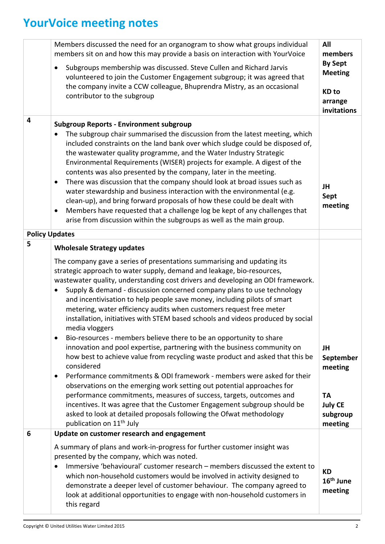## **YourVoice meeting notes**

|                       | Members discussed the need for an organogram to show what groups individual<br>members sit on and how this may provide a basis on interaction with YourVoice<br>Subgroups membership was discussed. Steve Cullen and Richard Jarvis<br>$\bullet$<br>volunteered to join the Customer Engagement subgroup; it was agreed that<br>the company invite a CCW colleague, Bhuprendra Mistry, as an occasional<br>contributor to the subgroup                                                                                                                                                                                                                                                                                                                                                                                                            | All<br>members<br><b>By Sept</b><br><b>Meeting</b><br><b>KD</b> to<br>arrange<br>invitations |
|-----------------------|---------------------------------------------------------------------------------------------------------------------------------------------------------------------------------------------------------------------------------------------------------------------------------------------------------------------------------------------------------------------------------------------------------------------------------------------------------------------------------------------------------------------------------------------------------------------------------------------------------------------------------------------------------------------------------------------------------------------------------------------------------------------------------------------------------------------------------------------------|----------------------------------------------------------------------------------------------|
| 4                     | <b>Subgroup Reports - Environment subgroup</b><br>The subgroup chair summarised the discussion from the latest meeting, which<br>included constraints on the land bank over which sludge could be disposed of,<br>the wastewater quality programme, and the Water Industry Strategic<br>Environmental Requirements (WISER) projects for example. A digest of the<br>contents was also presented by the company, later in the meeting.<br>There was discussion that the company should look at broad issues such as<br>٠<br>water stewardship and business interaction with the environmental (e.g.<br>clean-up), and bring forward proposals of how these could be dealt with<br>Members have requested that a challenge log be kept of any challenges that<br>$\bullet$<br>arise from discussion within the subgroups as well as the main group. | JH<br>Sept<br>meeting                                                                        |
| <b>Policy Updates</b> |                                                                                                                                                                                                                                                                                                                                                                                                                                                                                                                                                                                                                                                                                                                                                                                                                                                   |                                                                                              |
| 5                     | <b>Wholesale Strategy updates</b>                                                                                                                                                                                                                                                                                                                                                                                                                                                                                                                                                                                                                                                                                                                                                                                                                 |                                                                                              |
|                       | The company gave a series of presentations summarising and updating its<br>strategic approach to water supply, demand and leakage, bio-resources,<br>wastewater quality, understanding cost drivers and developing an ODI framework.<br>Supply & demand - discussion concerned company plans to use technology<br>and incentivisation to help people save money, including pilots of smart<br>metering, water efficiency audits when customers request free meter<br>installation, initiatives with STEM based schools and videos produced by social<br>media vloggers                                                                                                                                                                                                                                                                            |                                                                                              |
|                       | Bio-resources - members believe there to be an opportunity to share<br>٠<br>innovation and pool expertise, partnering with the business community on<br>how best to achieve value from recycling waste product and asked that this be<br>considered<br>Performance commitments & ODI framework - members were asked for their<br>observations on the emerging work setting out potential approaches for                                                                                                                                                                                                                                                                                                                                                                                                                                           | JH<br>September<br>meeting                                                                   |
|                       | performance commitments, measures of success, targets, outcomes and<br>incentives. It was agree that the Customer Engagement subgroup should be<br>asked to look at detailed proposals following the Ofwat methodology<br>publication on 11 <sup>th</sup> July                                                                                                                                                                                                                                                                                                                                                                                                                                                                                                                                                                                    | <b>TA</b><br><b>July CE</b><br>subgroup<br>meeting                                           |
| 6                     | Update on customer research and engagement                                                                                                                                                                                                                                                                                                                                                                                                                                                                                                                                                                                                                                                                                                                                                                                                        |                                                                                              |
|                       | A summary of plans and work-in-progress for further customer insight was<br>presented by the company, which was noted.<br>Immersive 'behavioural' customer research – members discussed the extent to<br>which non-household customers would be involved in activity designed to<br>demonstrate a deeper level of customer behaviour. The company agreed to<br>look at additional opportunities to engage with non-household customers in<br>this regard                                                                                                                                                                                                                                                                                                                                                                                          | <b>KD</b><br>16 <sup>th</sup> June<br>meeting                                                |